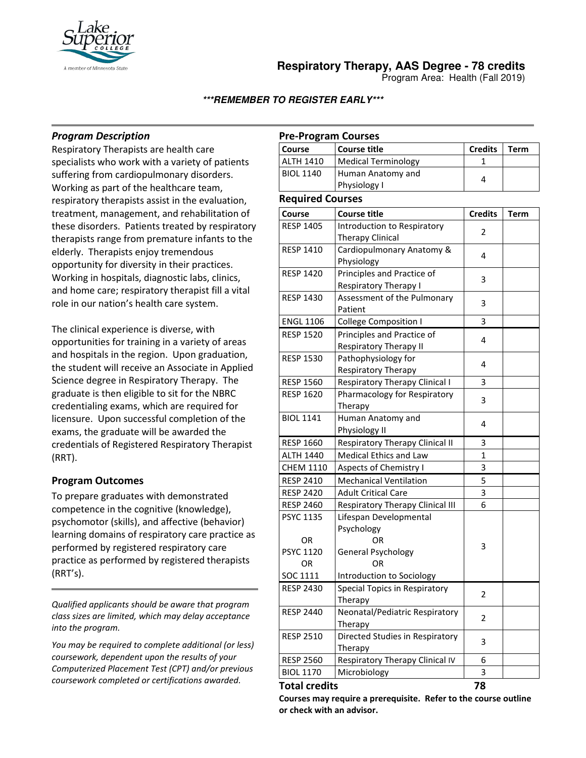

**Respiratory Therapy, AAS Degree - 78 credits**

Program Area: Health (Fall 2019)

**\*\*\*REMEMBER TO REGISTER EARLY\*\*\***

# *Program Description*

Respiratory Therapists are health care specialists who work with a variety of patients suffering from cardiopulmonary disorders. Working as part of the healthcare team, respiratory therapists assist in the evaluation, treatment, management, and rehabilitation of these disorders. Patients treated by respiratory therapists range from premature infants to the elderly. Therapists enjoy tremendous opportunity for diversity in their practices. Working in hospitals, diagnostic labs, clinics, and home care; respiratory therapist fill a vital role in our nation's health care system.

The clinical experience is diverse, with opportunities for training in a variety of areas and hospitals in the region. Upon graduation, the student will receive an Associate in Applied Science degree in Respiratory Therapy. The graduate is then eligible to sit for the NBRC credentialing exams, which are required for licensure. Upon successful completion of the exams, the graduate will be awarded the credentials of Registered Respiratory Therapist (RRT).

# **Program Outcomes**

To prepare graduates with demonstrated competence in the cognitive (knowledge), psychomotor (skills), and affective (behavior) learning domains of respiratory care practice as performed by registered respiratory care practice as performed by registered therapists (RRT's).

*Qualified applicants should be aware that program class sizes are limited, which may delay acceptance into the program.*

*You may be required to complete additional (or less) coursework, dependent upon the results of your Computerized Placement Test (CPT) and/or previous coursework completed or certifications awarded.*

# **Pre-Program Courses**

| Course           | Course title                      | <b>Credits</b> | Term |
|------------------|-----------------------------------|----------------|------|
| <b>ALTH 1410</b> | Medical Terminology               |                |      |
| <b>BIOL 1140</b> | Human Anatomy and<br>Physiology I |                |      |

#### **Required Courses**

| Required Courses     |                                  |                |             |
|----------------------|----------------------------------|----------------|-------------|
| Course               | <b>Course title</b>              | <b>Credits</b> | <b>Term</b> |
| <b>RESP 1405</b>     | Introduction to Respiratory      | 2              |             |
|                      | <b>Therapy Clinical</b>          |                |             |
| <b>RESP 1410</b>     | Cardiopulmonary Anatomy &        | 4              |             |
|                      | Physiology                       |                |             |
| <b>RESP 1420</b>     | Principles and Practice of       | 3              |             |
|                      | Respiratory Therapy I            |                |             |
| <b>RESP 1430</b>     | Assessment of the Pulmonary      | 3              |             |
|                      | Patient                          |                |             |
| <b>ENGL 1106</b>     | <b>College Composition I</b>     | 3              |             |
| <b>RESP 1520</b>     | Principles and Practice of       | 4              |             |
|                      | <b>Respiratory Therapy II</b>    |                |             |
| <b>RESP 1530</b>     | Pathophysiology for              | 4              |             |
|                      | Respiratory Therapy              |                |             |
| <b>RESP 1560</b>     | Respiratory Therapy Clinical I   | 3              |             |
| <b>RESP 1620</b>     | Pharmacology for Respiratory     | 3              |             |
|                      | Therapy                          |                |             |
| <b>BIOL 1141</b>     | Human Anatomy and                | 4              |             |
|                      | Physiology II                    |                |             |
| <b>RESP 1660</b>     | Respiratory Therapy Clinical II  | 3              |             |
| <b>ALTH 1440</b>     | <b>Medical Ethics and Law</b>    | $\overline{1}$ |             |
| <b>CHEM 1110</b>     | <b>Aspects of Chemistry I</b>    | 3              |             |
| <b>RESP 2410</b>     | <b>Mechanical Ventilation</b>    | 5              |             |
| <b>RESP 2420</b>     | <b>Adult Critical Care</b>       | 3              |             |
| <b>RESP 2460</b>     | Respiratory Therapy Clinical III | 6              |             |
| <b>PSYC 1135</b>     | Lifespan Developmental           |                |             |
|                      | Psychology                       |                |             |
| 0R                   | OR                               | 3              |             |
| <b>PSYC 1120</b>     | General Psychology               |                |             |
| <b>OR</b>            | OR                               |                |             |
| SOC 1111             | Introduction to Sociology        |                |             |
| <b>RESP 2430</b>     | Special Topics in Respiratory    | $\overline{2}$ |             |
|                      | Therapy                          |                |             |
| <b>RESP 2440</b>     | Neonatal/Pediatric Respiratory   | 2              |             |
|                      | Therapy                          |                |             |
| <b>RESP 2510</b>     | Directed Studies in Respiratory  | 3              |             |
|                      | Therapy                          |                |             |
| <b>RESP 2560</b>     | Respiratory Therapy Clinical IV  | 6              |             |
| <b>BIOL 1170</b>     | Microbiology                     | 3              |             |
| <b>Total credits</b> |                                  | 78             |             |

**Courses may require a prerequisite. Refer to the course outline or check with an advisor.**